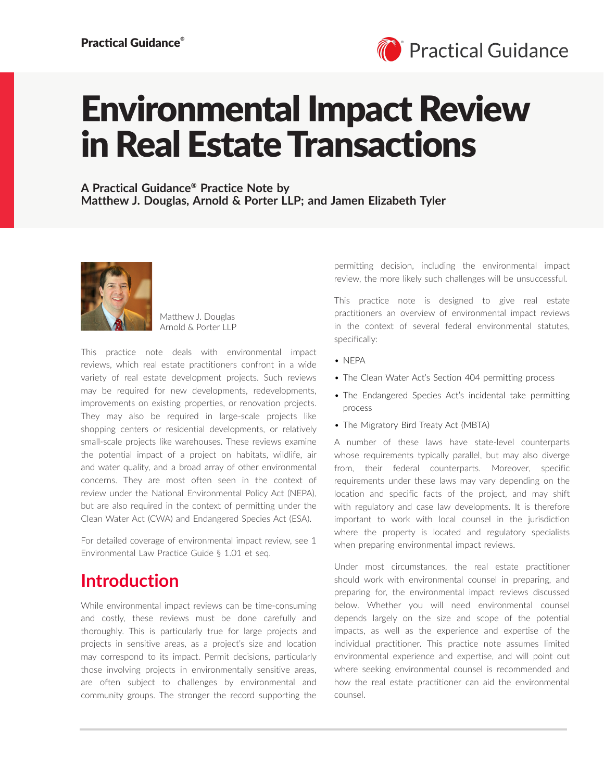

# Environmental Impact Review in Real Estate Transactions

**A Practical Guidance**® **Practice Note by Matthew J. Douglas, Arnold & Porter LLP; and Jamen Elizabeth Tyler**



Matthew J. Douglas Arnold & Porter LLP

This practice note deals with environmental impact reviews, which real estate practitioners confront in a wide variety of real estate development projects. Such reviews may be required for new developments, redevelopments, improvements on existing properties, or renovation projects. They may also be required in large-scale projects like shopping centers or residential developments, or relatively small-scale projects like warehouses. These reviews examine the potential impact of a project on habitats, wildlife, air and water quality, and a broad array of other environmental concerns. They are most often seen in the context of review under the National Environmental Policy Act (NEPA), but are also required in the context of permitting under the Clean Water Act (CWA) and Endangered Species Act (ESA).

For detailed coverage of environmental impact review, see 1 Environmental Law Practice Guide § 1.01 et seq.

### **Introduction**

While environmental impact reviews can be time-consuming and costly, these reviews must be done carefully and thoroughly. This is particularly true for large projects and projects in sensitive areas, as a project's size and location may correspond to its impact. Permit decisions, particularly those involving projects in environmentally sensitive areas, are often subject to challenges by environmental and community groups. The stronger the record supporting the

permitting decision, including the environmental impact review, the more likely such challenges will be unsuccessful.

This practice note is designed to give real estate practitioners an overview of environmental impact reviews in the context of several federal environmental statutes, specifically:

- NEPA
- The Clean Water Act's Section 404 permitting process
- The Endangered Species Act's incidental take permitting process
- The Migratory Bird Treaty Act (MBTA)

A number of these laws have state-level counterparts whose requirements typically parallel, but may also diverge from, their federal counterparts. Moreover, specific requirements under these laws may vary depending on the location and specific facts of the project, and may shift with regulatory and case law developments. It is therefore important to work with local counsel in the jurisdiction where the property is located and regulatory specialists when preparing environmental impact reviews.

Under most circumstances, the real estate practitioner should work with environmental counsel in preparing, and preparing for, the environmental impact reviews discussed below. Whether you will need environmental counsel depends largely on the size and scope of the potential impacts, as well as the experience and expertise of the individual practitioner. This practice note assumes limited environmental experience and expertise, and will point out where seeking environmental counsel is recommended and how the real estate practitioner can aid the environmental counsel.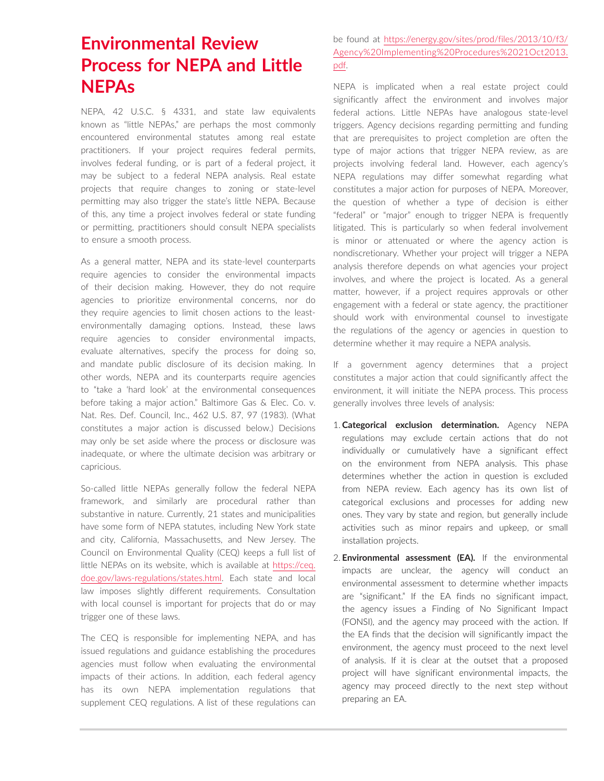# **Environmental Review Process for NEPA and Little NEPAs**

NEPA, 42 U.S.C. § 4331, and state law equivalents known as "little NEPAs," are perhaps the most commonly encountered environmental statutes among real estate practitioners. If your project requires federal permits, involves federal funding, or is part of a federal project, it may be subject to a federal NEPA analysis. Real estate projects that require changes to zoning or state-level permitting may also trigger the state's little NEPA. Because of this, any time a project involves federal or state funding or permitting, practitioners should consult NEPA specialists to ensure a smooth process.

As a general matter, NEPA and its state-level counterparts require agencies to consider the environmental impacts of their decision making. However, they do not require agencies to prioritize environmental concerns, nor do they require agencies to limit chosen actions to the leastenvironmentally damaging options. Instead, these laws require agencies to consider environmental impacts, evaluate alternatives, specify the process for doing so, and mandate public disclosure of its decision making. In other words, NEPA and its counterparts require agencies to "take a 'hard look' at the environmental consequences before taking a major action." Baltimore Gas & Elec. Co. v. Nat. Res. Def. Council, Inc., 462 U.S. 87, 97 (1983). (What constitutes a major action is discussed below.) Decisions may only be set aside where the process or disclosure was inadequate, or where the ultimate decision was arbitrary or capricious.

So-called little NEPAs generally follow the federal NEPA framework, and similarly are procedural rather than substantive in nature. Currently, 21 states and municipalities have some form of NEPA statutes, including New York state and city, California, Massachusetts, and New Jersey. The Council on Environmental Quality (CEQ) keeps a full list of little NEPAs on its website, which is available at [https://ceq.](https://ceq.doe.gov/laws-regulations/states.html) [doe.gov/laws-regulations/states.html.](https://ceq.doe.gov/laws-regulations/states.html) Each state and local law imposes slightly different requirements. Consultation with local counsel is important for projects that do or may trigger one of these laws.

The CEQ is responsible for implementing NEPA, and has issued regulations and guidance establishing the procedures agencies must follow when evaluating the environmental impacts of their actions. In addition, each federal agency has its own NEPA implementation regulations that supplement CEQ regulations. A list of these regulations can be found at [https://energy.gov/sites/prod/files/2013/10/f3/](https://energy.gov/sites/prod/files/2013/10/f3/Agency%20Implementing%20Procedures%2021Oct2013.pdf) [Agency%20Implementing%20Procedures%2021Oct2013.](https://energy.gov/sites/prod/files/2013/10/f3/Agency%20Implementing%20Procedures%2021Oct2013.pdf) [pdf.](https://energy.gov/sites/prod/files/2013/10/f3/Agency%20Implementing%20Procedures%2021Oct2013.pdf)

NEPA is implicated when a real estate project could significantly affect the environment and involves major federal actions. Little NEPAs have analogous state-level triggers. Agency decisions regarding permitting and funding that are prerequisites to project completion are often the type of major actions that trigger NEPA review, as are projects involving federal land. However, each agency's NEPA regulations may differ somewhat regarding what constitutes a major action for purposes of NEPA. Moreover, the question of whether a type of decision is either "federal" or "major" enough to trigger NEPA is frequently litigated. This is particularly so when federal involvement is minor or attenuated or where the agency action is nondiscretionary. Whether your project will trigger a NEPA analysis therefore depends on what agencies your project involves, and where the project is located. As a general matter, however, if a project requires approvals or other engagement with a federal or state agency, the practitioner should work with environmental counsel to investigate the regulations of the agency or agencies in question to determine whether it may require a NEPA analysis.

If a government agency determines that a project constitutes a major action that could significantly affect the environment, it will initiate the NEPA process. This process generally involves three levels of analysis:

- 1. **Categorical exclusion determination.** Agency NEPA regulations may exclude certain actions that do not individually or cumulatively have a significant effect on the environment from NEPA analysis. This phase determines whether the action in question is excluded from NEPA review. Each agency has its own list of categorical exclusions and processes for adding new ones. They vary by state and region, but generally include activities such as minor repairs and upkeep, or small installation projects.
- 2. **Environmental assessment (EA).** If the environmental impacts are unclear, the agency will conduct an environmental assessment to determine whether impacts are "significant." If the EA finds no significant impact, the agency issues a Finding of No Significant Impact (FONSI), and the agency may proceed with the action. If the EA finds that the decision will significantly impact the environment, the agency must proceed to the next level of analysis. If it is clear at the outset that a proposed project will have significant environmental impacts, the agency may proceed directly to the next step without preparing an EA.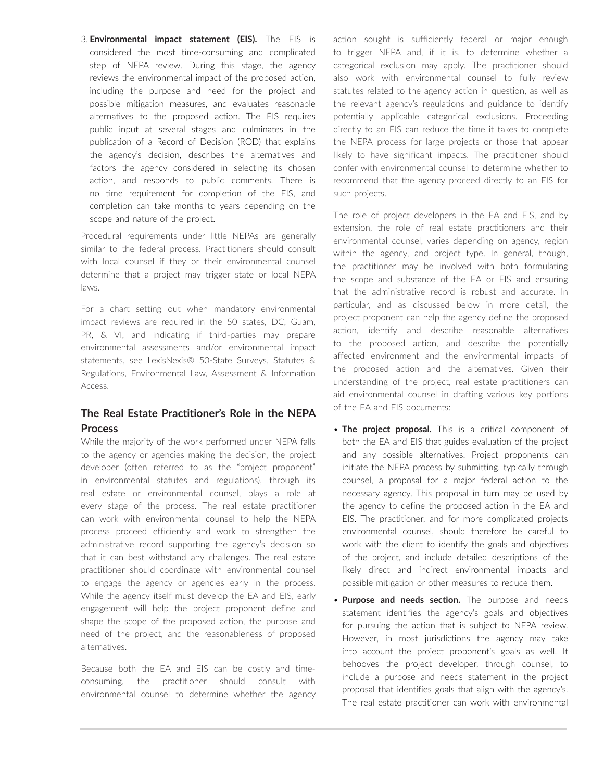3. **Environmental impact statement (EIS).** The EIS is considered the most time-consuming and complicated step of NEPA review. During this stage, the agency reviews the environmental impact of the proposed action, including the purpose and need for the project and possible mitigation measures, and evaluates reasonable alternatives to the proposed action. The EIS requires public input at several stages and culminates in the publication of a Record of Decision (ROD) that explains the agency's decision, describes the alternatives and factors the agency considered in selecting its chosen action, and responds to public comments. There is no time requirement for completion of the EIS, and completion can take months to years depending on the scope and nature of the project.

Procedural requirements under little NEPAs are generally similar to the federal process. Practitioners should consult with local counsel if they or their environmental counsel determine that a project may trigger state or local NEPA laws.

For a chart setting out when mandatory environmental impact reviews are required in the 50 states, DC, Guam, PR, & VI, and indicating if third-parties may prepare environmental assessments and/or environmental impact statements, see LexisNexis® 50-State Surveys, Statutes & Regulations, Environmental Law, Assessment & Information Access.

### **The Real Estate Practitioner's Role in the NEPA Process**

While the majority of the work performed under NEPA falls to the agency or agencies making the decision, the project developer (often referred to as the "project proponent" in environmental statutes and regulations), through its real estate or environmental counsel, plays a role at every stage of the process. The real estate practitioner can work with environmental counsel to help the NEPA process proceed efficiently and work to strengthen the administrative record supporting the agency's decision so that it can best withstand any challenges. The real estate practitioner should coordinate with environmental counsel to engage the agency or agencies early in the process. While the agency itself must develop the EA and EIS, early engagement will help the project proponent define and shape the scope of the proposed action, the purpose and need of the project, and the reasonableness of proposed alternatives.

Because both the EA and EIS can be costly and timeconsuming, the practitioner should consult with environmental counsel to determine whether the agency action sought is sufficiently federal or major enough to trigger NEPA and, if it is, to determine whether a categorical exclusion may apply. The practitioner should also work with environmental counsel to fully review statutes related to the agency action in question, as well as the relevant agency's regulations and guidance to identify potentially applicable categorical exclusions. Proceeding directly to an EIS can reduce the time it takes to complete the NEPA process for large projects or those that appear likely to have significant impacts. The practitioner should confer with environmental counsel to determine whether to recommend that the agency proceed directly to an EIS for such projects.

The role of project developers in the EA and EIS, and by extension, the role of real estate practitioners and their environmental counsel, varies depending on agency, region within the agency, and project type. In general, though, the practitioner may be involved with both formulating the scope and substance of the EA or EIS and ensuring that the administrative record is robust and accurate. In particular, and as discussed below in more detail, the project proponent can help the agency define the proposed action, identify and describe reasonable alternatives to the proposed action, and describe the potentially affected environment and the environmental impacts of the proposed action and the alternatives. Given their understanding of the project, real estate practitioners can aid environmental counsel in drafting various key portions of the EA and EIS documents:

- **The project proposal.** This is a critical component of both the EA and EIS that guides evaluation of the project and any possible alternatives. Project proponents can initiate the NEPA process by submitting, typically through counsel, a proposal for a major federal action to the necessary agency. This proposal in turn may be used by the agency to define the proposed action in the EA and EIS. The practitioner, and for more complicated projects environmental counsel, should therefore be careful to work with the client to identify the goals and objectives of the project, and include detailed descriptions of the likely direct and indirect environmental impacts and possible mitigation or other measures to reduce them.
- **Purpose and needs section.** The purpose and needs statement identifies the agency's goals and objectives for pursuing the action that is subject to NEPA review. However, in most jurisdictions the agency may take into account the project proponent's goals as well. It behooves the project developer, through counsel, to include a purpose and needs statement in the project proposal that identifies goals that align with the agency's. The real estate practitioner can work with environmental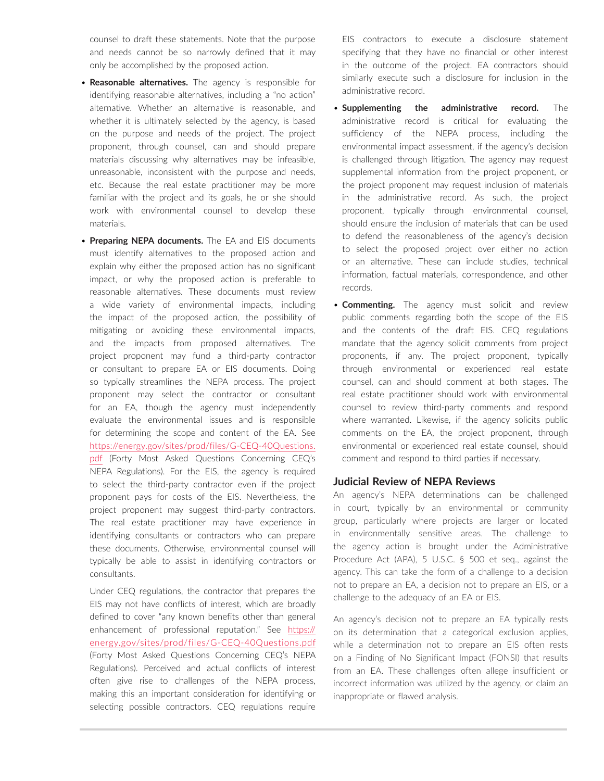counsel to draft these statements. Note that the purpose and needs cannot be so narrowly defined that it may only be accomplished by the proposed action.

- **Reasonable alternatives.** The agency is responsible for identifying reasonable alternatives, including a "no action" alternative. Whether an alternative is reasonable, and whether it is ultimately selected by the agency, is based on the purpose and needs of the project. The project proponent, through counsel, can and should prepare materials discussing why alternatives may be infeasible, unreasonable, inconsistent with the purpose and needs, etc. Because the real estate practitioner may be more familiar with the project and its goals, he or she should work with environmental counsel to develop these materials.
- **Preparing NEPA documents.** The EA and EIS documents must identify alternatives to the proposed action and explain why either the proposed action has no significant impact, or why the proposed action is preferable to reasonable alternatives. These documents must review a wide variety of environmental impacts, including the impact of the proposed action, the possibility of mitigating or avoiding these environmental impacts, and the impacts from proposed alternatives. The project proponent may fund a third-party contractor or consultant to prepare EA or EIS documents. Doing so typically streamlines the NEPA process. The project proponent may select the contractor or consultant for an EA, though the agency must independently evaluate the environmental issues and is responsible for determining the scope and content of the EA. See [https://energy.gov/sites/prod/files/G-CEQ-40Questions.](https://energy.gov/sites/prod/files/G-CEQ-40Questions.pdf) [pdf](https://energy.gov/sites/prod/files/G-CEQ-40Questions.pdf) (Forty Most Asked Questions Concerning CEQ's NEPA Regulations). For the EIS, the agency is required to select the third-party contractor even if the project proponent pays for costs of the EIS. Nevertheless, the project proponent may suggest third-party contractors. The real estate practitioner may have experience in identifying consultants or contractors who can prepare these documents. Otherwise, environmental counsel will typically be able to assist in identifying contractors or consultants.

Under CEQ regulations, the contractor that prepares the EIS may not have conflicts of interest, which are broadly defined to cover "any known benefits other than general enhancement of professional reputation." See [https://](https://energy.gov/sites/prod/files/G-CEQ-40Questions.pdf) [energy.gov/sites/prod/files/G-CEQ-40Questions.pdf](https://energy.gov/sites/prod/files/G-CEQ-40Questions.pdf) (Forty Most Asked Questions Concerning CEQ's NEPA Regulations). Perceived and actual conflicts of interest often give rise to challenges of the NEPA process, making this an important consideration for identifying or selecting possible contractors. CEQ regulations require EIS contractors to execute a disclosure statement specifying that they have no financial or other interest in the outcome of the project. EA contractors should similarly execute such a disclosure for inclusion in the administrative record.

- **Supplementing the administrative record.** The administrative record is critical for evaluating the sufficiency of the NEPA process, including the environmental impact assessment, if the agency's decision is challenged through litigation. The agency may request supplemental information from the project proponent, or the project proponent may request inclusion of materials in the administrative record. As such, the project proponent, typically through environmental counsel, should ensure the inclusion of materials that can be used to defend the reasonableness of the agency's decision to select the proposed project over either no action or an alternative. These can include studies, technical information, factual materials, correspondence, and other records.
- **Commenting.** The agency must solicit and review public comments regarding both the scope of the EIS and the contents of the draft EIS. CEQ regulations mandate that the agency solicit comments from project proponents, if any. The project proponent, typically through environmental or experienced real estate counsel, can and should comment at both stages. The real estate practitioner should work with environmental counsel to review third-party comments and respond where warranted. Likewise, if the agency solicits public comments on the EA, the project proponent, through environmental or experienced real estate counsel, should comment and respond to third parties if necessary.

#### **Judicial Review of NEPA Reviews**

An agency's NEPA determinations can be challenged in court, typically by an environmental or community group, particularly where projects are larger or located in environmentally sensitive areas. The challenge to the agency action is brought under the Administrative Procedure Act (APA), 5 U.S.C. § 500 et seq., against the agency. This can take the form of a challenge to a decision not to prepare an EA, a decision not to prepare an EIS, or a challenge to the adequacy of an EA or EIS.

An agency's decision not to prepare an EA typically rests on its determination that a categorical exclusion applies, while a determination not to prepare an EIS often rests on a Finding of No Significant Impact (FONSI) that results from an EA. These challenges often allege insufficient or incorrect information was utilized by the agency, or claim an inappropriate or flawed analysis.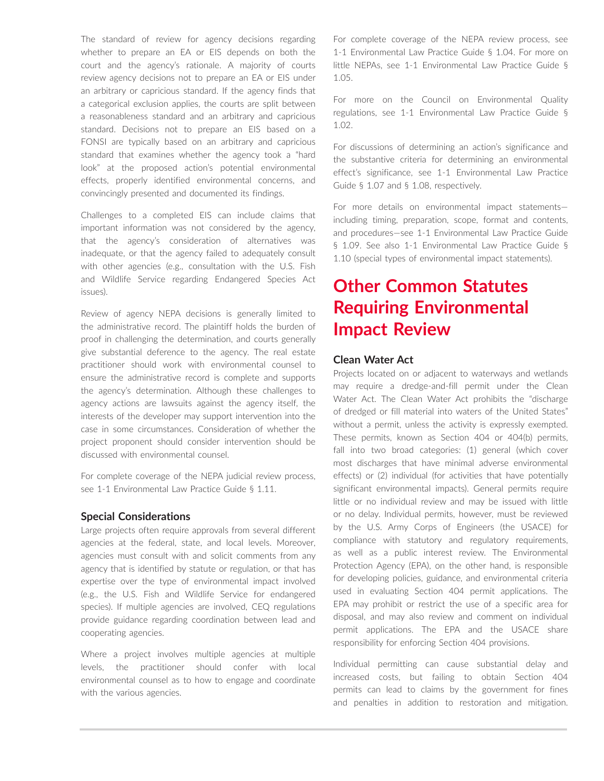The standard of review for agency decisions regarding whether to prepare an EA or EIS depends on both the court and the agency's rationale. A majority of courts review agency decisions not to prepare an EA or EIS under an arbitrary or capricious standard. If the agency finds that a categorical exclusion applies, the courts are split between a reasonableness standard and an arbitrary and capricious standard. Decisions not to prepare an EIS based on a FONSI are typically based on an arbitrary and capricious standard that examines whether the agency took a "hard look" at the proposed action's potential environmental effects, properly identified environmental concerns, and convincingly presented and documented its findings.

Challenges to a completed EIS can include claims that important information was not considered by the agency, that the agency's consideration of alternatives was inadequate, or that the agency failed to adequately consult with other agencies (e.g., consultation with the U.S. Fish and Wildlife Service regarding Endangered Species Act issues).

Review of agency NEPA decisions is generally limited to the administrative record. The plaintiff holds the burden of proof in challenging the determination, and courts generally give substantial deference to the agency. The real estate practitioner should work with environmental counsel to ensure the administrative record is complete and supports the agency's determination. Although these challenges to agency actions are lawsuits against the agency itself, the interests of the developer may support intervention into the case in some circumstances. Consideration of whether the project proponent should consider intervention should be discussed with environmental counsel.

For complete coverage of the NEPA judicial review process, see 1-1 Environmental Law Practice Guide § 1.11.

#### **Special Considerations**

Large projects often require approvals from several different agencies at the federal, state, and local levels. Moreover, agencies must consult with and solicit comments from any agency that is identified by statute or regulation, or that has expertise over the type of environmental impact involved (e.g., the U.S. Fish and Wildlife Service for endangered species). If multiple agencies are involved, CEQ regulations provide guidance regarding coordination between lead and cooperating agencies.

Where a project involves multiple agencies at multiple levels, the practitioner should confer with local environmental counsel as to how to engage and coordinate with the various agencies.

For complete coverage of the NEPA review process, see 1-1 Environmental Law Practice Guide § 1.04. For more on little NEPAs, see 1-1 Environmental Law Practice Guide § 1.05.

For more on the Council on Environmental Quality regulations, see 1-1 Environmental Law Practice Guide § 1.02.

For discussions of determining an action's significance and the substantive criteria for determining an environmental effect's significance, see 1-1 Environmental Law Practice Guide § 1.07 and § 1.08, respectively.

For more details on environmental impact statements including timing, preparation, scope, format and contents, and procedures—see 1-1 Environmental Law Practice Guide § 1.09. See also 1-1 Environmental Law Practice Guide § 1.10 (special types of environmental impact statements).

# **Other Common Statutes Requiring Environmental Impact Review**

### **Clean Water Act**

Projects located on or adjacent to waterways and wetlands may require a dredge-and-fill permit under the Clean Water Act. The Clean Water Act prohibits the "discharge of dredged or fill material into waters of the United States" without a permit, unless the activity is expressly exempted. These permits, known as Section 404 or 404(b) permits, fall into two broad categories: (1) general (which cover most discharges that have minimal adverse environmental effects) or (2) individual (for activities that have potentially significant environmental impacts). General permits require little or no individual review and may be issued with little or no delay. Individual permits, however, must be reviewed by the U.S. Army Corps of Engineers (the USACE) for compliance with statutory and regulatory requirements, as well as a public interest review. The Environmental Protection Agency (EPA), on the other hand, is responsible for developing policies, guidance, and environmental criteria used in evaluating Section 404 permit applications. The EPA may prohibit or restrict the use of a specific area for disposal, and may also review and comment on individual permit applications. The EPA and the USACE share responsibility for enforcing Section 404 provisions.

Individual permitting can cause substantial delay and increased costs, but failing to obtain Section 404 permits can lead to claims by the government for fines and penalties in addition to restoration and mitigation.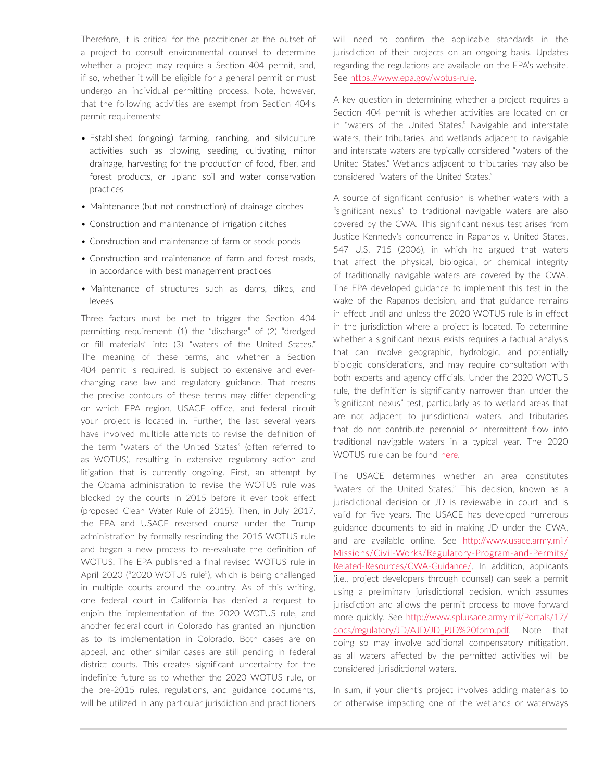Therefore, it is critical for the practitioner at the outset of a project to consult environmental counsel to determine whether a project may require a Section 404 permit, and, if so, whether it will be eligible for a general permit or must undergo an individual permitting process. Note, however, that the following activities are exempt from Section 404's permit requirements:

- Established (ongoing) farming, ranching, and silviculture activities such as plowing, seeding, cultivating, minor drainage, harvesting for the production of food, fiber, and forest products, or upland soil and water conservation practices
- Maintenance (but not construction) of drainage ditches
- Construction and maintenance of irrigation ditches
- Construction and maintenance of farm or stock ponds
- Construction and maintenance of farm and forest roads, in accordance with best management practices
- Maintenance of structures such as dams, dikes, and levees

Three factors must be met to trigger the Section 404 permitting requirement: (1) the "discharge" of (2) "dredged or fill materials" into (3) "waters of the United States." The meaning of these terms, and whether a Section 404 permit is required, is subject to extensive and everchanging case law and regulatory guidance. That means the precise contours of these terms may differ depending on which EPA region, USACE office, and federal circuit your project is located in. Further, the last several years have involved multiple attempts to revise the definition of the term "waters of the United States" (often referred to as WOTUS), resulting in extensive regulatory action and litigation that is currently ongoing. First, an attempt by the Obama administration to revise the WOTUS rule was blocked by the courts in 2015 before it ever took effect (proposed Clean Water Rule of 2015). Then, in July 2017, the EPA and USACE reversed course under the Trump administration by formally rescinding the 2015 WOTUS rule and began a new process to re-evaluate the definition of WOTUS. The EPA published a final revised WOTUS rule in April 2020 ("2020 WOTUS rule"), which is being challenged in multiple courts around the country. As of this writing, one federal court in California has denied a request to enjoin the implementation of the 2020 WOTUS rule, and another federal court in Colorado has granted an injunction as to its implementation in Colorado. Both cases are on appeal, and other similar cases are still pending in federal district courts. This creates significant uncertainty for the indefinite future as to whether the 2020 WOTUS rule, or the pre-2015 rules, regulations, and guidance documents, will be utilized in any particular jurisdiction and practitioners will need to confirm the applicable standards in the jurisdiction of their projects on an ongoing basis. Updates regarding the regulations are available on the EPA's website. See <https://www.epa.gov/wotus-rule>.

A key question in determining whether a project requires a Section 404 permit is whether activities are located on or in "waters of the United States." Navigable and interstate waters, their tributaries, and wetlands adjacent to navigable and interstate waters are typically considered "waters of the United States." Wetlands adjacent to tributaries may also be considered "waters of the United States."

A source of significant confusion is whether waters with a "significant nexus" to traditional navigable waters are also covered by the CWA. This significant nexus test arises from Justice Kennedy's concurrence in Rapanos v. United States, 547 U.S. 715 (2006), in which he argued that waters that affect the physical, biological, or chemical integrity of traditionally navigable waters are covered by the CWA. The EPA developed guidance to implement this test in the wake of the Rapanos decision, and that guidance remains in effect until and unless the 2020 WOTUS rule is in effect in the jurisdiction where a project is located. To determine whether a significant nexus exists requires a factual analysis that can involve geographic, hydrologic, and potentially biologic considerations, and may require consultation with both experts and agency officials. Under the 2020 WOTUS rule, the definition is significantly narrower than under the "significant nexus" test, particularly as to wetland areas that are not adjacent to jurisdictional waters, and tributaries that do not contribute perennial or intermittent flow into traditional navigable waters in a typical year. The 2020 WOTUS rule can be found [here](https://www.federalregister.gov/documents/2020/04/21/2020-02500/the-navigable-waters-protection-rule-definition-of-waters-of-the-united-states).

The USACE determines whether an area constitutes "waters of the United States." This decision, known as a jurisdictional decision or JD is reviewable in court and is valid for five years. The USACE has developed numerous guidance documents to aid in making JD under the CWA, and are available online. See [http://www.usace.army.mil/](http://www.usace.army.mil/Missions/Civil-Works/Regulatory-Program-and-Permits/Related-Resources/CWA-Guidance/) [Missions/Civil-Works/Regulatory-Program-and-Permits/](http://www.usace.army.mil/Missions/Civil-Works/Regulatory-Program-and-Permits/Related-Resources/CWA-Guidance/) [Related-Resources/CWA-Guidance/.](http://www.usace.army.mil/Missions/Civil-Works/Regulatory-Program-and-Permits/Related-Resources/CWA-Guidance/) In addition, applicants (i.e., project developers through counsel) can seek a permit using a preliminary jurisdictional decision, which assumes jurisdiction and allows the permit process to move forward more quickly. See [http://www.spl.usace.army.mil/Portals/17/](http://www.spl.usace.army.mil/Portals/17/docs/regulatory/JD/AJD/JD_PJD%20form.pdf) [docs/regulatory/JD/AJD/JD\\_PJD%20form.pdf](http://www.spl.usace.army.mil/Portals/17/docs/regulatory/JD/AJD/JD_PJD%20form.pdf). Note that doing so may involve additional compensatory mitigation, as all waters affected by the permitted activities will be considered jurisdictional waters.

In sum, if your client's project involves adding materials to or otherwise impacting one of the wetlands or waterways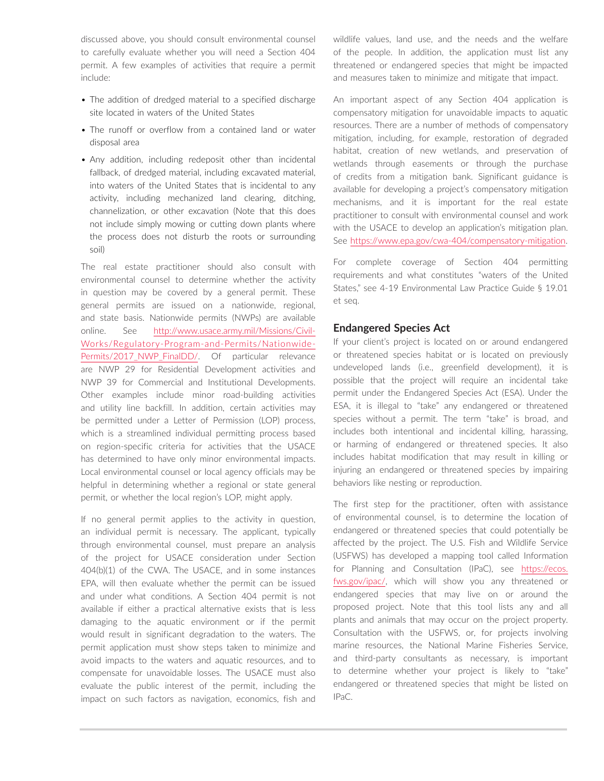discussed above, you should consult environmental counsel to carefully evaluate whether you will need a Section 404 permit. A few examples of activities that require a permit include:

- The addition of dredged material to a specified discharge site located in waters of the United States
- The runoff or overflow from a contained land or water disposal area
- Any addition, including redeposit other than incidental fallback, of dredged material, including excavated material, into waters of the United States that is incidental to any activity, including mechanized land clearing, ditching, channelization, or other excavation (Note that this does not include simply mowing or cutting down plants where the process does not disturb the roots or surrounding soil)

The real estate practitioner should also consult with environmental counsel to determine whether the activity in question may be covered by a general permit. These general permits are issued on a nationwide, regional, and state basis. Nationwide permits (NWPs) are available online. See [http://www.usace.army.mil/Missions/Civil-](http://www.usace.army.mil/Missions/Civil-Works/Regulatory-Program-and-Permits/Nationwide-Permits/2017_NWP_FinalDD/)[Works/Regulatory-Program-and-Permits/Nationwide-](http://www.usace.army.mil/Missions/Civil-Works/Regulatory-Program-and-Permits/Nationwide-Permits/2017_NWP_FinalDD/)Permits/2017 NWP FinalDD/. Of particular relevance are NWP 29 for Residential Development activities and NWP 39 for Commercial and Institutional Developments. Other examples include minor road-building activities and utility line backfill. In addition, certain activities may be permitted under a Letter of Permission (LOP) process, which is a streamlined individual permitting process based on region-specific criteria for activities that the USACE has determined to have only minor environmental impacts. Local environmental counsel or local agency officials may be helpful in determining whether a regional or state general permit, or whether the local region's LOP, might apply.

If no general permit applies to the activity in question, an individual permit is necessary. The applicant, typically through environmental counsel, must prepare an analysis of the project for USACE consideration under Section 404(b)(1) of the CWA. The USACE, and in some instances EPA, will then evaluate whether the permit can be issued and under what conditions. A Section 404 permit is not available if either a practical alternative exists that is less damaging to the aquatic environment or if the permit would result in significant degradation to the waters. The permit application must show steps taken to minimize and avoid impacts to the waters and aquatic resources, and to compensate for unavoidable losses. The USACE must also evaluate the public interest of the permit, including the impact on such factors as navigation, economics, fish and wildlife values, land use, and the needs and the welfare of the people. In addition, the application must list any threatened or endangered species that might be impacted and measures taken to minimize and mitigate that impact.

An important aspect of any Section 404 application is compensatory mitigation for unavoidable impacts to aquatic resources. There are a number of methods of compensatory mitigation, including, for example, restoration of degraded habitat, creation of new wetlands, and preservation of wetlands through easements or through the purchase of credits from a mitigation bank. Significant guidance is available for developing a project's compensatory mitigation mechanisms, and it is important for the real estate practitioner to consult with environmental counsel and work with the USACE to develop an application's mitigation plan. See [https://www.epa.gov/cwa-404/compensatory-mitigation.](https://www.epa.gov/cwa-404/compensatory-mitigation)

For complete coverage of Section 404 permitting requirements and what constitutes "waters of the United States," see 4-19 Environmental Law Practice Guide § 19.01 et seq.

### **Endangered Species Act**

If your client's project is located on or around endangered or threatened species habitat or is located on previously undeveloped lands (i.e., greenfield development), it is possible that the project will require an incidental take permit under the Endangered Species Act (ESA). Under the ESA, it is illegal to "take" any endangered or threatened species without a permit. The term "take" is broad, and includes both intentional and incidental killing, harassing, or harming of endangered or threatened species. It also includes habitat modification that may result in killing or injuring an endangered or threatened species by impairing behaviors like nesting or reproduction.

The first step for the practitioner, often with assistance of environmental counsel, is to determine the location of endangered or threatened species that could potentially be affected by the project. The U.S. Fish and Wildlife Service (USFWS) has developed a mapping tool called Information for Planning and Consultation (IPaC), see [https://ecos.](https://ecos.fws.gov/ipac/) [fws.gov/ipac/,](https://ecos.fws.gov/ipac/) which will show you any threatened or endangered species that may live on or around the proposed project. Note that this tool lists any and all plants and animals that may occur on the project property. Consultation with the USFWS, or, for projects involving marine resources, the National Marine Fisheries Service, and third-party consultants as necessary, is important to determine whether your project is likely to "take" endangered or threatened species that might be listed on IPaC.